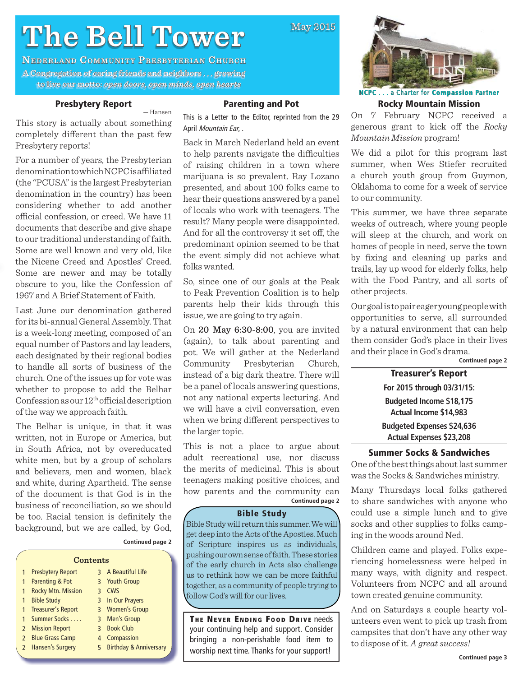# **The Bell Tower he**

**NEDERLAND COMMUNITY PRESBYTERIAN CHURCH** A Congregation of caring friends and neighbors ... growing to live our motto: motto: *open doors, open minds, open hearts pen open hearts*

# **Presbytery Report**

For a number of years, the Presbyterian denomination to which NCPC is affiliated (the "PCUSA" is the largest Presbyterian denomination in the country) has been considering whether to add another official confession, or creed. We have 11 documents that describe and give shape to our traditional understanding of faith. Some are well known and very old, like the Nicene Creed and Apostles' Creed. Some are newer and may be totally obscure to you, like the Confession of 1967 and A Brief Statement of Faith.

Last June our denomination gathered for its bi-annual General Assembly. That is a week-long meeting, composed of an equal number of Pastors and lay leaders, each designated by their regional bodies to handle all sorts of business of the church. One of the issues up for vote was whether to propose to add the Belhar Confession as our  $12<sup>th</sup>$  official description

The Belhar is unique, in that it was written, not in Europe or America, but in South Africa, not by overeducated white men, but by a group of scholars and believers, men and women, black and white, during Apartheid. The sense of the document is that God is in the business of reconciliation, so we should be too. Racial tension is definitely the background, but we are called, by God,

of the way we approach faith.

Presbytery reports!

### — Hansen

**Parenting and Pot**

May 2015

This story is actually about something completely different than the past few This is a Letter to the Editor, reprinted from the 29 April Mountain Ear, .

Back in March Nederland held an event to help parents navigate the difficulties of raising children in a town where marijuana is so prevalent. Ray Lozano presented, and about 100 folks came to hear their questions answered by a panel of locals who work with teenagers. The result? Many people were disappointed. And for all the controversy it set off, the predominant opinion seemed to be that the event simply did not achieve what folks wanted.

So, since one of our goals at the Peak to Peak Prevention Coalition is to help parents help their kids through this issue, we are going to try again.

On 20 May 6:30-8:00, you are invited (again), to talk about parenting and pot. We will gather at the Nederland Community Presbyterian Church, instead of a big dark theatre. There will be a panel of locals answering questions, not any national experts lecturing. And we will have a civil conversation, even when we bring different perspectives to the larger topic.

**Continued page 2** This is not a place to argue about adult recreational use, nor discuss the merits of medicinal. This is about teenagers making positive choices, and how parents and the community can

#### **Bible Study**

Bible Study will return this summer. We will get deep into the Acts of the Apostles. Much of Scripture inspires us as individuals, pushing our own sense of faith. These stories of the early church in Acts also challenge us to rethink how we can be more faithful together, as a community of people trying to follow God's will for our lives.

**THE NEVER ENDING FOOD DRIVE needs** your continuing help and support. Consider bringing a non-perishable food item to worship next time. Thanks for your support!



**NCPC**. . . a Charter for **Compassion ompassionPartner Rocky Mountain Mission**

On 7 February NCPC received a generous grant to kick off the *Rocky Mountain Mission* program!

We did a pilot for this program last summer, when Wes Stiefer recruited a church youth group from Guymon, Oklahoma to come for a week of service to our community.

This summer, we have three separate weeks of outreach, where young people will sleep at the church, and work on homes of people in need, serve the town by fixing and cleaning up parks and trails, lay up wood for elderly folks, help with the Food Pantry, and all sorts of other projects.

Our goal is to pair eager young people with opportunities to serve, all surrounded by a natural environment that can help them consider God's place in their lives and their place in God's drama.

**Continued page 2**

**Treasurer's Report For 2015 through 03/31/15: Budgeted Income \$18,175 Actual Income \$14,983 Budgeted Expenses \$24,636 Actual Expenses \$23,208**

# **Summer Socks & Sandwiches**

One of the best things about last summer was the Socks & Sandwiches ministry.

Many Thursdays local folks gathered to share sandwiches with anyone who could use a simple lunch and to give socks and other supplies to folks camping in the woods around Ned.

Children came and played. Folks experiencing homelessness were helped in many ways, with dignity and respect. Volunteers from NCPC and all around town created genuine community.

And on Saturdays a couple hearty volunteers even went to pick up trash from campsites that don't have any other way to dispose of it. *A great success!*

| Contents     |                           |                |                                   |
|--------------|---------------------------|----------------|-----------------------------------|
| $\mathbf{1}$ | <b>Presbytery Report</b>  |                | 3 A Beautiful Life                |
| 1            | Parenting & Pot           |                | 3 Youth Group                     |
| $\mathbf{1}$ | <b>Rocky Mtn. Mission</b> | $\mathbf{R}$   | <b>CWS</b>                        |
| $\mathbf{1}$ | <b>Bible Study</b>        | $\overline{3}$ | In Our Prayers                    |
| $\mathbf{1}$ | Treasurer's Report        |                | 3 Women's Group                   |
| $\mathbf{1}$ | Summer Socks              |                | 3 Men's Group                     |
|              | 2 Mission Report          | २              | <b>Book Club</b>                  |
|              | 2 Blue Grass Camp         | 4              | Compassion                        |
|              | 2 Hansen's Surgery        | 5              | <b>Birthday &amp; Anniversary</b> |
|              |                           |                |                                   |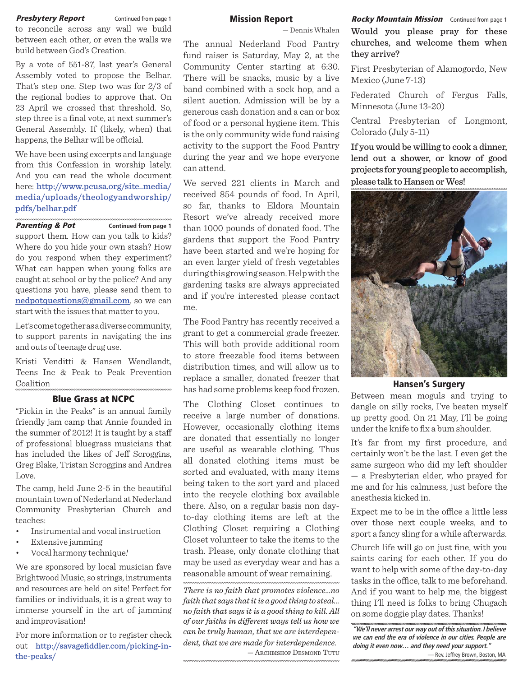**Presbytery Report Continued from page 1 Mission Report** *Rocky Mountain Mission* Continued from page 1 to reconcile across any wall we build between each other, or even the walls we build between God's Creation.

By a vote of 551-87, last year's General Assembly voted to propose the Belhar. That's step one. Step two was for 2/3 of the regional bodies to approve that. On 23 April we crossed that threshold. So, step three is a final vote, at next summer's General Assembly. If (likely, when) that happens, the Belhar will be official.

We have been using excerpts and language from this Confession in worship lately. And you can read the whole document here: http://www.pcusa.org/site\_media/ media/uploads/theologyandworship/ pdfs/belhar.pdf

#### **Parenting & Pot** Continued from page 1

support them. How can you talk to kids? Where do you hide your own stash? How do you respond when they experiment? What can happen when young folks are caught at school or by the police? And any questions you have, please send them to nedpotquestions@gmail.com, so we can start with the issues that matter to you.

Let's come together as a diverse community, to support parents in navigating the ins and outs of teenage drug use.

Kristi Venditti & Hansen Wendlandt, Teens Inc & Peak to Peak Prevention Coalition

#### **Blue Grass at NCPC**

"Pickin in the Peaks" is an annual family friendly jam camp that Annie founded in the summer of 2012! It is taught by a staff of professional bluegrass musicians that has included the likes of Jeff Scroggins, Greg Blake, Tristan Scroggins and Andrea Love.

The camp, held June 2-5 in the beautiful mountain town of Nederland at Nederland Community Presbyterian Church and teaches:

- Instrumental and vocal instruction
- Extensive jamming
- Vocal harmony technique*!*

We are sponsored by local musician fave Brightwood Music, so strings, instruments and resources are held on site! Perfect for families or individuals, it is a great way to immerse yourself in the art of jamming and improvisation!

For more information or to register check out http://savagefiddler.com/picking-inthe-peaks/

#### **Mission Report**

— Dennis Whalen

The annual Nederland Food Pantry fund raiser is Saturday, May 2, at the Community Center starting at 6:30. There will be snacks, music by a live band combined with a sock hop, and a silent auction. Admission will be by a generous cash donation and a can or box of food or a personal hygiene item. This is the only community wide fund raising activity to the support the Food Pantry during the year and we hope everyone can attend.

We served 221 clients in March and received 854 pounds of food. In April, so far, thanks to Eldora Mountain Resort we've already received more than 1000 pounds of donated food. The gardens that support the Food Pantry have been started and we're hoping for an even larger yield of fresh vegetables during this growing season. Help with the gardening tasks are always appreciated and if you're interested please contact me.

The Food Pantry has recently received a grant to get a commercial grade freezer. This will both provide additional room to store freezable food items between distribution times, and will allow us to replace a smaller, donated freezer that has had some problems keep food frozen.

The Clothing Closet continues to receive a large number of donations. However, occasionally clothing items are donated that essentially no longer are useful as wearable clothing. Thus all donated clothing items must be sorted and evaluated, with many items being taken to the sort yard and placed into the recycle clothing box available there. Also, on a regular basis non dayto-day clothing items are left at the Clothing Closet requiring a Clothing Closet volunteer to take the items to the trash. Please, only donate clothing that may be used as everyday wear and has a reasonable amount of wear remaining.

*There is no faith that promotes violence...no faith that says that it is a good thing to steal... no faith that says it is a good thing to kill. All of our faiths in diff erent ways tell us how we can be truly human, that we are interdependent, that we are made for interdependence.* — ARCHBISHOP DESMOND TUTU

Would you please pray for these churches, and welcome them when they arrive?

First Presbyterian of Alamogordo, New Mexico (June 7-13)

Federated Church of Fergus Falls, Minnesota (June 13-20)

Central Presbyterian of Longmont, Colorado (July 5-11)

If you would be willing to cook a dinner, lend out a shower, or know of good projects for young people to accomplish, please talk to Hansen or Wes!



#### **Hansen's Surgery**

Between mean moguls and trying to dangle on silly rocks, I've beaten myself up pretty good. On 21 May, I'll be going under the knife to fix a bum shoulder.

It's far from my first procedure, and certainly won't be the last. I even get the same surgeon who did my left shoulder — a Presbyterian elder, who prayed for me and for his calmness, just before the anesthesia kicked in.

Expect me to be in the office a little less over those next couple weeks, and to sport a fancy sling for a while afterwards. Church life will go on just fine, with you saints caring for each other. If you do want to help with some of the day-to-day tasks in the office, talk to me beforehand. And if you want to help me, the biggest thing I'll need is folks to bring Chugach on some doggie play dates. Thanks!

**"We'll never arrest our way out of this situation. I believe we can end the era of violence in our cities. People are doing it even now… and they need your support."**

— Rev. Jeffrey Brown, Boston, MA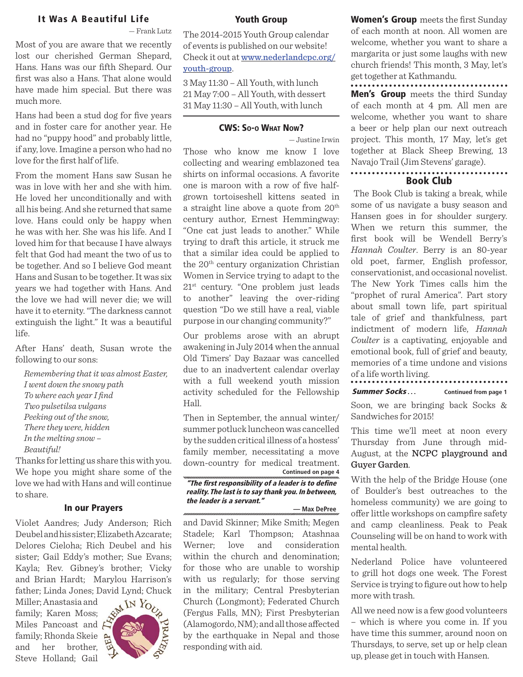# **It Was A Beautiful Life**

— Frank Lutz

Most of you are aware that we recently lost our cherished German Shepard, Hans. Hans was our fifth Shepard. Our first was also a Hans. That alone would have made him special. But there was much more.

Hans had been a stud dog for five years and in foster care for another year. He had no "puppy hood" and probably little, if any, love. Imagine a person who had no love for the first half of life.

From the moment Hans saw Susan he was in love with her and she with him. He loved her unconditionally and with all his being. And she returned that same love. Hans could only be happy when he was with her. She was his life. And I loved him for that because I have always felt that God had meant the two of us to be together. And so I believe God meant Hans and Susan to be together. It was six years we had together with Hans. And the love we had will never die; we will have it to eternity. "The darkness cannot extinguish the light." It was a beautiful life.

After Hans' death, Susan wrote the following to our sons:

*Remembering that it was almost Easter, I went down the snowy path* To where each year I find *Two pulsetilsa vulgans Peeking out of the snow, There they were, hidden In the melting snow – Beautiful!*

Thanks for letting us share this with you. We hope you might share some of the love we had with Hans and will continue to share.

### **In our Prayers**

Violet Aandres; Judy Anderson; Rich Deubel and his sister; Elizabeth Azcarate; Delores Cieloha; Rich Deubel and his sister; Gail Eddy's mother; Sue Evans; Kayla; Rev. Gibney's brother; Vicky and Brian Hardt; Marylou Harrison's father; Linda Jones; David Lynd; Chuck<br>Miller; Anastasia and<br>family; Karen Moss.

Miller; Anastasia and family; Karen Moss; Miles Pancoast and  $\mathcal{B}$ family; Rhonda Skeie and her brother, Steve Holland; Gail



#### **Youth Group**

The 2014-2015 Youth Group calendar of events is published on our website! Check it out at www.nederlandcpc.org/ youth-group.

3 May 11:30 – All Youth, with lunch 21 May 7:00 – All Youth, with dessert 31 May 11:30 – All Youth, with lunch

#### **CWS: SO-O WHAT NOW?**

— Justine Irwin

Those who know me know I love collecting and wearing emblazoned tea shirts on informal occasions. A favorite one is maroon with a row of five halfgrown tortoiseshell kittens seated in a straight line above a quote from  $20<sup>th</sup>$ century author, Ernest Hemmingway: "One cat just leads to another." While trying to draft this article, it struck me that a similar idea could be applied to the  $20<sup>th</sup>$  century organization Christian Women in Service trying to adapt to the 21st century. "One problem just leads to another" leaving the over-riding question "Do we still have a real, viable purpose in our changing community?"

Our problems arose with an abrupt awakening in July 2014 when the annual Old Timers' Day Bazaar was cancelled due to an inadvertent calendar overlay with a full weekend youth mission activity scheduled for the Fellowship Hall.

Then in September, the annual winter/ summer potluck luncheon was cancelled by the sudden critical illness of a hostess' family member, necessitating a move down-country for medical treatment. **Continued on page 4**

**"The fi rst responsibility of a leader is to defi ne reality. The last is to say thank you. In between, the leader is a servant."**

**— Max DePree**

and David Skinner; Mike Smith; Megen Stadele; Karl Thompson; Atashnaa Werner; love and consideration within the church and denomination; for those who are unable to worship with us regularly; for those serving in the military; Central Presbyterian Church (Longmont); Federated Church (Fergus Falls, MN); First Presbyterian  $(Alamogordo, NM);$  and all those affected by the earthquake in Nepal and those responding with aid.

**Women's Group** meets the first Sunday of each month at noon. All women are welcome, whether you want to share a margarita or just some laughs with new church friends! This month, 3 May, let's get together at Kathmandu.

**Men's Group** meets the third Sunday of each month at 4 pm. All men are welcome, whether you want to share a beer or help plan our next outreach project. This month, 17 May, let's get together at Black Sheep Brewing, 13 Navajo Trail (Jim Stevens' garage).

# **Book Club**

 The Book Club is taking a break, while some of us navigate a busy season and Hansen goes in for shoulder surgery. When we return this summer, the first book will be Wendell Berry's *Hannah Coulter*. Berry is an 80-year old poet, farmer, English professor, conservationist, and occasional novelist. The New York Times calls him the "prophet of rural America". Part story about small town life, part spiritual tale of grief and thankfulness, part indictment of modern life, *Hannah Coulter* is a captivating, enjoyable and emotional book, full of grief and beauty, memories of a time undone and visions of a life worth living.

**Summer Socks** . . . . . . . . Continued from page 1

Soon, we are bringing back Socks & Sandwiches for 2015!

This time we'll meet at noon every Thursday from June through mid-August, at the NCPC playground and Guyer Garden.

With the help of the Bridge House (one of Boulder's best outreaches to the homeless community) we are going to offer little workshops on campfire safety and camp cleanliness. Peak to Peak Counseling will be on hand to work with mental health.

Nederland Police have volunteered to grill hot dogs one week. The Forest Service is trying to figure out how to help more with trash.

All we need now is a few good volunteers – which is where you come in. If you have time this summer, around noon on Thursdays, to serve, set up or help clean up, please get in touch with Hansen.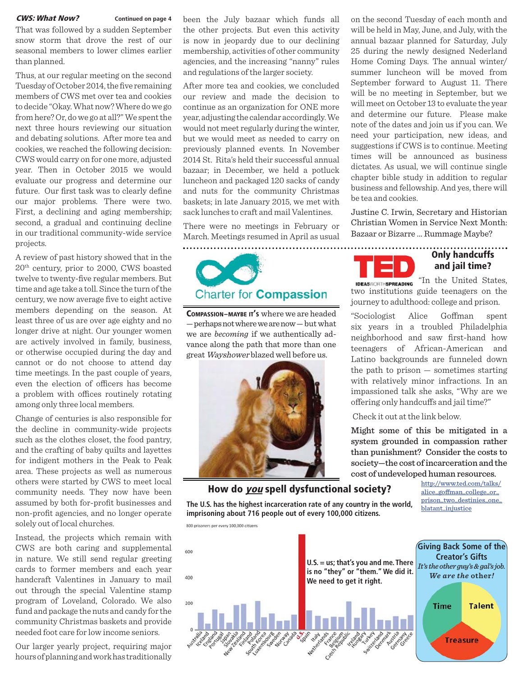That was followed by a sudden September snow storm that drove the rest of our seasonal members to lower climes earlier than planned.

Thus, at our regular meeting on the second Tuesday of October 2014, the five remaining members of CWS met over tea and cookies to decide "Okay. What now? Where do we go from here? Or, do we go at all?" We spent the next three hours reviewing our situation and debating solutions. After more tea and cookies, we reached the following decision: CWS would carry on for one more, adjusted year. Then in October 2015 we would evaluate our progress and determine our future. Our first task was to clearly define our major problems. There were two. First, a declining and aging membership; second, a gradual and continuing decline in our traditional community-wide service projects.

A review of past history showed that in the 20th century, prior to 2000, CWS boasted twelve to twenty-five regular members. But time and age take a toll. Since the turn of the century, we now average five to eight active members depending on the season. At least three of us are over age eighty and no longer drive at night. Our younger women are actively involved in family, business, or otherwise occupied during the day and cannot or do not choose to attend day time meetings. In the past couple of years, even the election of officers has become a problem with offices routinely rotating among only three local members.

Change of centuries is also responsible for the decline in community-wide projects such as the clothes closet, the food pantry, and the crafting of baby quilts and layettes for indigent mothers in the Peak to Peak area. These projects as well as numerous others were started by CWS to meet local community needs. They now have been assumed by both for-profit businesses and non-profit agencies, and no longer operate solely out of local churches.

Instead, the projects which remain with CWS are both caring and supplemental in nature. We still send regular greeting cards to former members and each year handcraft Valentines in January to mail out through the special Valentine stamp program of Loveland, Colorado. We also fund and package the nuts and candy for the community Christmas baskets and provide needed foot care for low income seniors.

Our larger yearly project, requiring major hours of planning and work has traditionally

been the July bazaar which funds all the other projects. But even this activity is now in jeopardy due to our declining membership, activities of other community agencies, and the increasing "nanny" rules and regulations of the larger society. **CWS: What Now?** Continued on page 4 been the July bazaar which funds all on the second Tuesday of each month and

> After more tea and cookies, we concluded our review and made the decision to continue as an organization for ONE more year, adjusting the calendar accordingly. We would not meet regularly during the winter, but we would meet as needed to carry on previously planned events. In November 2014 St. Rita's held their successful annual bazaar; in December, we held a potluck luncheon and packaged 120 sacks of candy and nuts for the community Christmas baskets; in late January 2015, we met with sack lunches to craft and mail Valentines.

> There were no meetings in February or March. Meetings resumed in April as usual



**COMPASSION–MAYBE IT'S** where we are headed — perhaps not where we are now — but what we are *becoming* if we authentically advance along the path that more than one great Wayshower blazed well before us.



### **How do you spell dysfunctional society?**

**The U.S. has the highest incarceration rate of any country in the world, imprisoning about 716 people out of every 100,000 citizens.**

will be held in May, June, and July, with the annual bazaar planned for Saturday, July 25 during the newly designed Nederland Home Coming Days. The annual winter/ summer luncheon will be moved from September forward to August 11. There will be no meeting in September, but we will meet on October 13 to evaluate the year and determine our future. Please make note of the dates and join us if you can. We need your participation, new ideas, and suggestions if CWS is to continue. Meeting times will be announced as business dictates. As usual, we will continue single chapter bible study in addition to regular business and fellowship. And yes, there will be tea and cookies.

Justine C. Irwin, Secretary and Historian Christian Women in Service Next Month: Bazaar or Bizarre ... Rummage Maybe?



# **Only handcuffs and jail time?**

**IDEASWORTHSPREADING** "In the United States, two institutions guide teenagers on the journey to adulthood: college and prison.

"Sociologist Alice Goffman spent six years in a troubled Philadelphia neighborhood and saw first-hand how teenagers of African-American and Latino backgrounds are funneled down the path to prison  $-$  sometimes starting with relatively minor infractions. In an impassioned talk she asks, "Why are we offering only handcuffs and jail time?"

Check it out at the link below.

Might some of this be mitigated in a system grounded in compassion rather than punishment? Consider the costs to society—the cost of incarceration and the cost of undeveloped human resources.

> http://www.ted.com/talks/ alice\_goffman\_college\_or\_ prison\_two\_destinies\_one\_ blatant\_injustice

800 prisoners per every 100,000 citizens